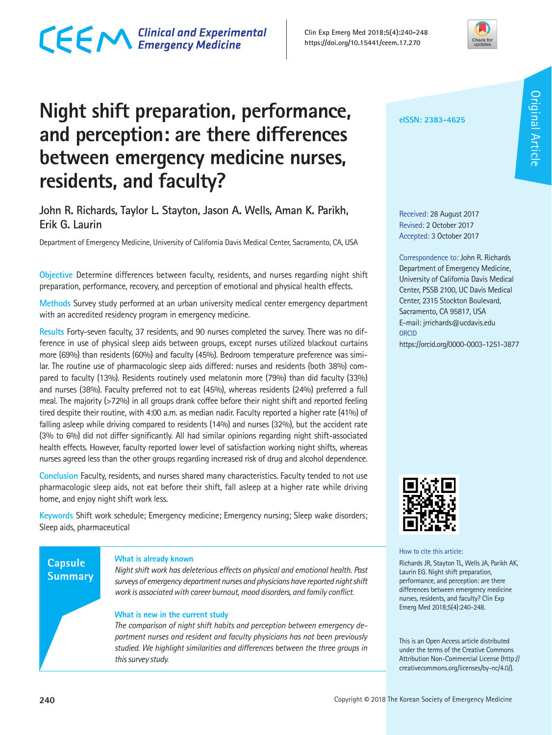### CECM Clinical and Experimental



### **Night shift preparation, performance, and perception: are there differences between emergency medicine nurses, residents, and faculty?**

### **John R. Richards, Taylor L. Stayton, Jason A. Wells, Aman K. Parikh, Erik G. Laurin**

Department of Emergency Medicine, University of California Davis Medical Center, Sacramento, CA, USA

**Objective** Determine differences between faculty, residents, and nurses regarding night shift preparation, performance, recovery, and perception of emotional and physical health effects.

**Methods** Survey study performed at an urban university medical center emergency department with an accredited residency program in emergency medicine.

**Results** Forty-seven faculty, 37 residents, and 90 nurses completed the survey. There was no difference in use of physical sleep aids between groups, except nurses utilized blackout curtains more (69%) than residents (60%) and faculty (45%). Bedroom temperature preference was similar. The routine use of pharmacologic sleep aids differed: nurses and residents (both 38%) compared to faculty (13%). Residents routinely used melatonin more (79%) than did faculty (33%) and nurses (38%). Faculty preferred not to eat (45%), whereas residents (24%) preferred a full meal. The majority (>72%) in all groups drank coffee before their night shift and reported feeling tired despite their routine, with 4:00 a.m. as median nadir. Faculty reported a higher rate (41%) of falling asleep while driving compared to residents (14%) and nurses (32%), but the accident rate (3% to 6%) did not differ significantly. All had similar opinions regarding night shift-associated health effects. However, faculty reported lower level of satisfaction working night shifts, whereas nurses agreed less than the other groups regarding increased risk of drug and alcohol dependence.

**Conclusion** Faculty, residents, and nurses shared many characteristics. Faculty tended to not use pharmacologic sleep aids, not eat before their shift, fall asleep at a higher rate while driving home, and enjoy night shift work less.

**Keywords** Shift work schedule; Emergency medicine; Emergency nursing; Sleep wake disorders; Sleep aids, pharmaceutical

### **Capsule Summary**

#### **What is already known**

*Night shift work has deleterious effects on physical and emotional health. Past surveys of emergency department nurses and physicians have reported night shift work is associated with career burnout, mood disorders, and family conflict.*

#### **What is new in the current study**

*The comparison of night shift habits and perception between emergency department nurses and resident and faculty physicians has not been previously studied. We highlight similarities and differences between the three groups in this survey study.*

**eISSN: 2383-4625**

Received: 28 August 2017 Revised: 2 October 2017 Accepted: 3 October 2017

Correspondence to: John R. Richards Department of Emergency Medicine, University of California Davis Medical Center, PSSB 2100, UC Davis Medical Center, 2315 Stockton Boulevard, Sacramento, CA 95817, USA E-mail: jrrichards@ucdavis.edu ORCID https://orcid.org/0000-0003-1251-3877



How to cite this article:

Richards JR, Stayton TL, Wells JA, Parikh AK, Laurin EG. Night shift preparation, performance, and perception: are there differences between emergency medicine nurses, residents, and faculty? Clin Exp Emerg Med 2018;5(4):240-248.

This is an Open Access article distributed under the terms of the Creative Commons Attribution Non-Commercial License (http:// creativecommons.org/licenses/by-nc/4.0/).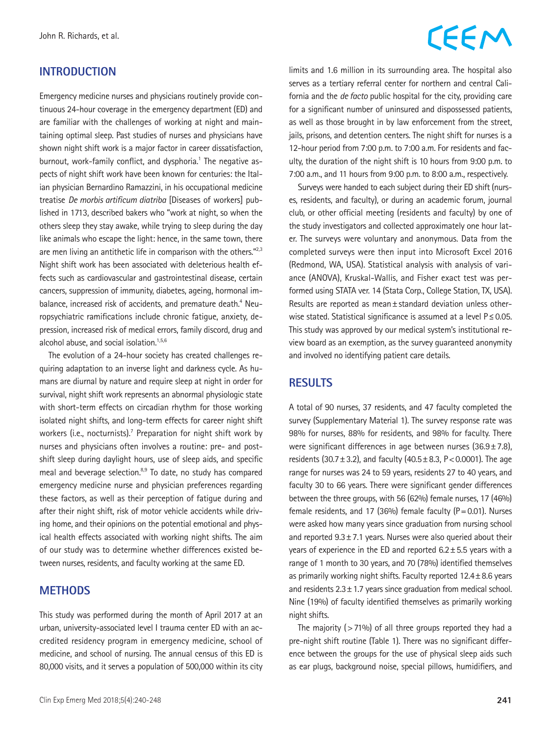#### **INTRODUCTION**

Emergency medicine nurses and physicians routinely provide continuous 24-hour coverage in the emergency department (ED) and are familiar with the challenges of working at night and maintaining optimal sleep. Past studies of nurses and physicians have shown night shift work is a major factor in career dissatisfaction, burnout, work-family conflict, and dysphoria.<sup>1</sup> The negative aspects of night shift work have been known for centuries: the Italian physician Bernardino Ramazzini, in his occupational medicine treatise *De morbis artificum diatriba* [Diseases of workers] published in 1713, described bakers who "work at night, so when the others sleep they stay awake, while trying to sleep during the day like animals who escape the light: hence, in the same town, there are men living an antithetic life in comparison with the others." $2,3$ Night shift work has been associated with deleterious health effects such as cardiovascular and gastrointestinal disease, certain cancers, suppression of immunity, diabetes, ageing, hormonal imbalance, increased risk of accidents, and premature death.<sup>4</sup> Neuropsychiatric ramifications include chronic fatigue, anxiety, depression, increased risk of medical errors, family discord, drug and alcohol abuse, and social isolation. $1,5,6$ 

The evolution of a 24-hour society has created challenges requiring adaptation to an inverse light and darkness cycle. As humans are diurnal by nature and require sleep at night in order for survival, night shift work represents an abnormal physiologic state with short-term effects on circadian rhythm for those working isolated night shifts, and long-term effects for career night shift workers (i.e., nocturnists).<sup>7</sup> Preparation for night shift work by nurses and physicians often involves a routine: pre- and postshift sleep during daylight hours, use of sleep aids, and specific meal and beverage selection.8,9 To date, no study has compared emergency medicine nurse and physician preferences regarding these factors, as well as their perception of fatigue during and after their night shift, risk of motor vehicle accidents while driving home, and their opinions on the potential emotional and physical health effects associated with working night shifts. The aim of our study was to determine whether differences existed between nurses, residents, and faculty working at the same ED.

#### **METHODS**

This study was performed during the month of April 2017 at an urban, university-associated level I trauma center ED with an accredited residency program in emergency medicine, school of medicine, and school of nursing. The annual census of this ED is 80,000 visits, and it serves a population of 500,000 within its city

## CEEM

limits and 1.6 million in its surrounding area. The hospital also serves as a tertiary referral center for northern and central California and the *de facto* public hospital for the city, providing care for a significant number of uninsured and dispossessed patients, as well as those brought in by law enforcement from the street, jails, prisons, and detention centers. The night shift for nurses is a 12-hour period from 7:00 p.m. to 7:00 a.m. For residents and faculty, the duration of the night shift is 10 hours from 9:00 p.m. to 7:00 a.m., and 11 hours from 9:00 p.m. to 8:00 a.m., respectively.

Surveys were handed to each subject during their ED shift (nurses, residents, and faculty), or during an academic forum, journal club, or other official meeting (residents and faculty) by one of the study investigators and collected approximately one hour later. The surveys were voluntary and anonymous. Data from the completed surveys were then input into Microsoft Excel 2016 (Redmond, WA, USA). Statistical analysis with analysis of variance (ANOVA), Kruskal-Wallis, and Fisher exact test was performed using STATA ver. 14 (Stata Corp., College Station, TX, USA). Results are reported as mean±standard deviation unless otherwise stated. Statistical significance is assumed at a level P≤0.05. This study was approved by our medical system's institutional review board as an exemption, as the survey guaranteed anonymity and involved no identifying patient care details.

#### **RESULTS**

A total of 90 nurses, 37 residents, and 47 faculty completed the survey (Supplementary Material 1). The survey response rate was 98% for nurses, 88% for residents, and 98% for faculty. There were significant differences in age between nurses  $(36.9 \pm 7.8)$ , residents (30.7±3.2), and faculty (40.5±8.3, P<0.0001). The age range for nurses was 24 to 59 years, residents 27 to 40 years, and faculty 30 to 66 years. There were significant gender differences between the three groups, with 56 (62%) female nurses, 17 (46%) female residents, and 17 (36%) female faculty ( $P=0.01$ ). Nurses were asked how many years since graduation from nursing school and reported  $9.3 \pm 7.1$  years. Nurses were also queried about their years of experience in the ED and reported  $6.2 \pm 5.5$  years with a range of 1 month to 30 years, and 70 (78%) identified themselves as primarily working night shifts. Faculty reported 12.4±8.6 years and residents  $2.3 \pm 1.7$  years since graduation from medical school. Nine (19%) of faculty identified themselves as primarily working night shifts.

The majority ( $>71\%$ ) of all three groups reported they had a pre-night shift routine (Table 1). There was no significant difference between the groups for the use of physical sleep aids such as ear plugs, background noise, special pillows, humidifiers, and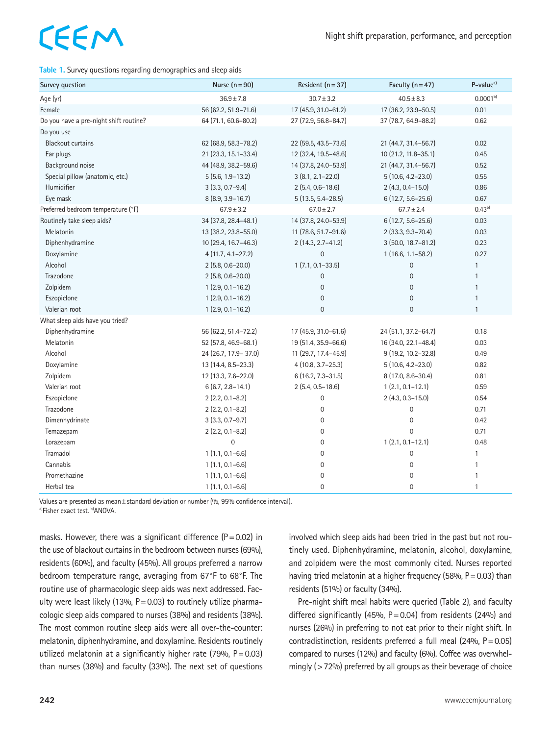#### **Table 1.** Survey questions regarding demographics and sleep aids

| Survey question                        | Nurse $(n=90)$         | Resident $(n=37)$     | Faculty $(n = 47)$    | P-value <sup>a)</sup> |
|----------------------------------------|------------------------|-----------------------|-----------------------|-----------------------|
| Age (yr)                               | $36.9 \pm 7.8$         | $30.7 \pm 3.2$        | $40.5 \pm 8.3$        | $0.0001^{b}$          |
| Female                                 | 56 (62.2, 51.9-71.6)   | 17 (45.9, 31.0-61.2)  | 17 (36.2, 23.9-50.5)  | 0.01                  |
| Do you have a pre-night shift routine? | 64 (71.1, 60.6-80.2)   | 27 (72.9, 56.8-84.7)  | 37 (78.7, 64.9-88.2)  | 0.62                  |
| Do you use                             |                        |                       |                       |                       |
| <b>Blackout curtains</b>               | 62 (68.9, 58.3-78.2)   | 22 (59.5, 43.5-73.6)  | 21 (44.7, 31.4-56.7)  | 0.02                  |
| Ear plugs                              | 21 (23.3, 15.1-33.4)   | 12 (32.4, 19.5-48.6)  | 10 (21.2, 11.8-35.1)  | 0.45                  |
| Background noise                       | 44 (48.9, 38.2-59.6)   | 14 (37.8, 24.0-53.9)  | 21 (44.7, 31.4-56.7)  | 0.52                  |
| Special pillow (anatomic, etc.)        | $5(5.6, 1.9 - 13.2)$   | $3(8.1, 2.1 - 22.0)$  | 5 (10.6, 4.2-23.0)    | 0.55                  |
| Humidifier                             | $3(3.3, 0.7-9.4)$      | $2(5.4, 0.6 - 18.6)$  | $2(4.3, 0.4 - 15.0)$  | 0.86                  |
| Eye mask                               | 8 (8.9, 3.9-16.7)      | $5(13.5, 5.4 - 28.5)$ | $6(12.7, 5.6 - 25.6)$ | 0.67                  |
| Preferred bedroom temperature (°F)     | $67.9 \pm 3.2$         | $67.0 \pm 2.7$        | $67.7 \pm 2.4$        | $0.43^{b}$            |
| Routinely take sleep aids?             | 34 (37.8, 28.4-48.1)   | 14 (37.8, 24.0-53.9)  | 6 (12.7, 5.6-25.6)    | 0.03                  |
| Melatonin                              | 13 (38.2, 23.8-55.0)   | 11 (78.6, 51.7-91.6)  | 2 (33.3, 9.3-70.4)    | 0.03                  |
| Diphenhydramine                        | 10 (29.4, 16.7-46.3)   | 2 (14.3, 2.7-41.2)    | 3 (50.0, 18.7-81.2)   | 0.23                  |
| Doxylamine                             | $4(11.7, 4.1 - 27.2)$  | $\overline{0}$        | $1(16.6, 1.1 - 58.2)$ | 0.27                  |
| Alcohol                                | $2(5.8, 0.6 - 20.0)$   | $1(7.1, 0.1 - 33.5)$  | 0                     | $\mathbf{1}$          |
| Trazodone                              | $2(5.8, 0.6 - 20.0)$   | $\overline{0}$        | $\overline{0}$        | $\mathbf{1}$          |
| Zolpidem                               | $1(2.9, 0.1 - 16.2)$   | $\mathbf 0$           | $\overline{0}$        | $\mathbf{1}$          |
| Eszopiclone                            | $1(2.9, 0.1 - 16.2)$   | $\mathbf 0$           | $\boldsymbol{0}$      | $\mathbf{1}$          |
| Valerian root                          | $1(2.9, 0.1 - 16.2)$   | $\mathbf 0$           | $\boldsymbol{0}$      | $\mathbf{1}$          |
| What sleep aids have you tried?        |                        |                       |                       |                       |
| Diphenhydramine                        | 56 (62.2, 51.4-72.2)   | 17 (45.9, 31.0-61.6)  | 24 (51.1, 37.2-64.7)  | 0.18                  |
| Melatonin                              | 52 (57.8, 46.9-68.1)   | 19 (51.4, 35.9-66.6)  | 16 (34.0, 22.1-48.4)  | 0.03                  |
| Alcohol                                | 24 (26.7, 17.9 - 37.0) | 11 (29.7, 17.4-45.9)  | 9 (19.2, 10.2-32.8)   | 0.49                  |
| Doxylamine                             | 13 (14.4, 8.5-23.3)    | $4(10.8, 3.7 - 25.3)$ | 5 (10.6, 4.2-23.0)    | 0.82                  |
| Zolpidem                               | 12 (13.3, 7.6-22.0)    | 6 (16.2, 7.3-31.5)    | 8 (17.0, 8.6-30.4)    | 0.81                  |
| Valerian root                          | $6(6.7, 2.8 - 14.1)$   | $2(5.4, 0.5 - 18.6)$  | $1(2.1, 0.1 - 12.1)$  | 0.59                  |
| Eszopiclone                            | $2(2.2, 0.1 - 8.2)$    | $\mathbf 0$           | $2(4.3, 0.3 - 15.0)$  | 0.54                  |
| Trazodone                              | $2(2.2, 0.1 - 8.2)$    | $\boldsymbol{0}$      | 0                     | 0.71                  |
| Dimenhydrinate                         | $3(3.3, 0.7 - 9.7)$    | $\mathbf{0}$          | 0                     | 0.42                  |
| Temazepam                              | $2(2.2, 0.1 - 8.2)$    | $\mathbf{0}$          | $\overline{0}$        | 0.71                  |
| Lorazepam                              | $\overline{0}$         | $\mathbf{0}$          | $1(2.1, 0.1 - 12.1)$  | 0.48                  |
| Tramadol                               | $1(1.1, 0.1 - 6.6)$    | $\mathbf{0}$          | 0                     | $\mathbf{1}$          |
| Cannabis                               | $1(1.1, 0.1 - 6.6)$    | $\mathbf{0}$          | $\overline{0}$        | $\mathbf{1}$          |
| Promethazine                           | $1(1.1, 0.1 - 6.6)$    | $\mathbf 0$           | $\mathbf 0$           | $\mathbf{1}$          |
| Herbal tea                             | $1(1.1, 0.1 - 6.6)$    | $\mathbf{0}$          | $\overline{0}$        | $\mathbf{1}$          |

Values are presented as mean±standard deviation or number (%, 95% confidence interval).

a)Fisher exact test. b)ANOVA.

masks. However, there was a significant difference  $(P=0.02)$  in the use of blackout curtains in the bedroom between nurses (69%), residents (60%), and faculty (45%). All groups preferred a narrow bedroom temperature range, averaging from 67°F to 68°F. The routine use of pharmacologic sleep aids was next addressed. Faculty were least likely (13%,  $P = 0.03$ ) to routinely utilize pharmacologic sleep aids compared to nurses (38%) and residents (38%). The most common routine sleep aids were all over-the-counter: melatonin, diphenhydramine, and doxylamine. Residents routinely utilized melatonin at a significantly higher rate (79%,  $P = 0.03$ ) than nurses (38%) and faculty (33%). The next set of questions

involved which sleep aids had been tried in the past but not routinely used. Diphenhydramine, melatonin, alcohol, doxylamine, and zolpidem were the most commonly cited. Nurses reported having tried melatonin at a higher frequency (58%,  $P = 0.03$ ) than residents (51%) or faculty (34%).

Pre-night shift meal habits were queried (Table 2), and faculty differed significantly (45%,  $P = 0.04$ ) from residents (24%) and nurses (26%) in preferring to not eat prior to their night shift. In contradistinction, residents preferred a full meal (24%, P=0.05) compared to nurses (12%) and faculty (6%). Coffee was overwhelmingly (>72%) preferred by all groups as their beverage of choice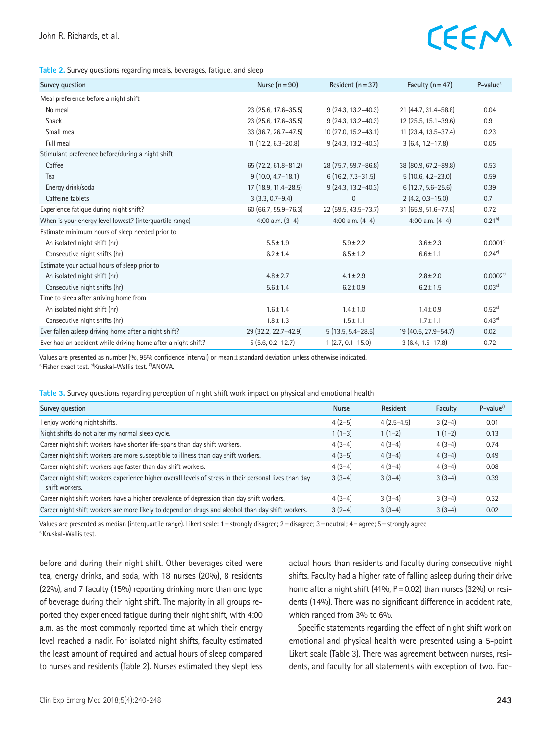| Table 2. Survey questions regarding meals, beverages, fatigue, and sleep |  |  |
|--------------------------------------------------------------------------|--|--|
|--------------------------------------------------------------------------|--|--|

| Survey question                                              | Nurse $(n=90)$         | Resident $(n=37)$      | Faculty $(n = 47)$    | $P-valuea$             |
|--------------------------------------------------------------|------------------------|------------------------|-----------------------|------------------------|
| Meal preference before a night shift                         |                        |                        |                       |                        |
| No meal                                                      | 23 (25.6, 17.6-35.5)   | $9(24.3, 13.2 - 40.3)$ | 21 (44.7, 31.4–58.8)  | 0.04                   |
| Snack                                                        | 23 (25.6, 17.6-35.5)   | $9(24.3, 13.2 - 40.3)$ | 12 (25.5, 15.1-39.6)  | 0.9                    |
| Small meal                                                   | 33 (36.7, 26.7-47.5)   | 10 (27.0, 15.2-43.1)   | 11 (23.4, 13.5-37.4)  | 0.23                   |
| Full meal                                                    | $11(12.2, 6.3 - 20.8)$ | $9(24.3, 13.2 - 40.3)$ | $3(6.4, 1.2 - 17.8)$  | 0.05                   |
| Stimulant preference before/during a night shift             |                        |                        |                       |                        |
| Coffee                                                       | 65 (72.2, 61.8-81.2)   | 28 (75.7, 59.7-86.8)   | 38 (80.9, 67.2-89.8)  | 0.53                   |
| Tea                                                          | $9(10.0, 4.7 - 18.1)$  | $6(16.2, 7.3 - 31.5)$  | $5(10.6, 4.2 - 23.0)$ | 0.59                   |
| Energy drink/soda                                            | 17 (18.9, 11.4-28.5)   | $9(24.3, 13.2 - 40.3)$ | $6(12.7, 5.6 - 25.6)$ | 0.39                   |
| Caffeine tablets                                             | $3(3.3, 0.7-9.4)$      | $\Omega$               | $2(4.2, 0.3 - 15.0)$  | 0.7                    |
| Experience fatique during night shift?                       | 60 (66.7, 55.9 - 76.3) | 22 (59.5, 43.5-73.7)   | 31 (65.9, 51.6-77.8)  | 0.72                   |
| When is your energy level lowest? (interquartile range)      | 4:00 a.m. $(3-4)$      | 4:00 a.m. $(4-4)$      | 4:00 a.m. $(4-4)$     | $0.21^{b}$             |
| Estimate minimum hours of sleep needed prior to              |                        |                        |                       |                        |
| An isolated night shift (hr)                                 | $5.5 \pm 1.9$          | $5.9 \pm 2.2$          | $3.6 \pm 2.3$         | $0.0001$ <sup>c)</sup> |
| Consecutive night shifts (hr)                                | $6.2 \pm 1.4$          | $6.5 \pm 1.2$          | $6.6 \pm 1.1$         | $0.24^{c}$             |
| Estimate your actual hours of sleep prior to                 |                        |                        |                       |                        |
| An isolated night shift (hr)                                 | $4.8 \pm 2.7$          | $4.1 \pm 2.9$          | $2.8 \pm 2.0$         | $0.0002$ <sup>c)</sup> |
| Consecutive night shifts (hr)                                | $5.6 \pm 1.4$          | $6.2 \pm 0.9$          | $6.2 \pm 1.5$         | 0.03c                  |
| Time to sleep after arriving home from                       |                        |                        |                       |                        |
| An isolated night shift (hr)                                 | $1.6 \pm 1.4$          | $1.4 \pm 1.0$          | $1.4 \pm 0.9$         | 0.52c                  |
| Consecutive night shifts (hr)                                | $1.8 \pm 1.3$          | $1.5 \pm 1.1$          | $1.7 \pm 1.1$         | $0.43^{c}$             |
| Ever fallen asleep driving home after a night shift?         | 29 (32.2, 22.7-42.9)   | $5(13.5, 5.4 - 28.5)$  | 19 (40.5, 27.9-54.7)  | 0.02                   |
| Ever had an accident while driving home after a night shift? | $5(5.6, 0.2 - 12.7)$   | $1(2.7, 0.1 - 15.0)$   | $3(6.4, 1.5-17.8)$    | 0.72                   |

Values are presented as number (%, 95% confidence interval) or mean±standard deviation unless otherwise indicated. a)Fisher exact test. b)Kruskal-Wallis test. C)ANOVA.

#### **Table 3.** Survey questions regarding perception of night shift work impact on physical and emotional health

| Survey question                                                                                                          | <b>Nurse</b> | Resident     | Faculty  | $P-valuea$ |
|--------------------------------------------------------------------------------------------------------------------------|--------------|--------------|----------|------------|
| I enjoy working night shifts.                                                                                            | $4(2-5)$     | $4(2.5-4.5)$ | $3(2-4)$ | 0.01       |
| Night shifts do not alter my normal sleep cycle.                                                                         | $1(1-3)$     | $1(1-2)$     | $1(1-2)$ | 0.13       |
| Career night shift workers have shorter life-spans than day shift workers.                                               | $4(3-4)$     | $4(3-4)$     | $4(3-4)$ | 0.74       |
| Career night shift workers are more susceptible to illness than day shift workers.                                       | $4(3-5)$     | $4(3-4)$     | $4(3-4)$ | 0.49       |
| Career night shift workers age faster than day shift workers.                                                            | $4(3-4)$     | $4(3-4)$     | $4(3-4)$ | 0.08       |
| Career night shift workers experience higher overall levels of stress in their personal lives than day<br>shift workers. | $3(3-4)$     | $3(3-4)$     | $3(3-4)$ | 0.39       |
| Career night shift workers have a higher prevalence of depression than day shift workers.                                | $4(3-4)$     | $3(3-4)$     | $3(3-4)$ | 0.32       |
| Career night shift workers are more likely to depend on drugs and alcohol than day shift workers.                        | $3(2-4)$     | $3(3-4)$     | $3(3-4)$ | 0.02       |

Values are presented as median (interquartile range). Likert scale: 1=strongly disagree; 2=disagree; 3=neutral; 4=agree; 5=strongly agree. a)Kruskal-Wallis test.

before and during their night shift. Other beverages cited were tea, energy drinks, and soda, with 18 nurses (20%), 8 residents (22%), and 7 faculty (15%) reporting drinking more than one type of beverage during their night shift. The majority in all groups reported they experienced fatigue during their night shift, with 4:00 a.m. as the most commonly reported time at which their energy level reached a nadir. For isolated night shifts, faculty estimated the least amount of required and actual hours of sleep compared to nurses and residents (Table 2). Nurses estimated they slept less

actual hours than residents and faculty during consecutive night shifts. Faculty had a higher rate of falling asleep during their drive home after a night shift (41%,  $P = 0.02$ ) than nurses (32%) or residents (14%). There was no significant difference in accident rate, which ranged from 3% to 6%.

Specific statements regarding the effect of night shift work on emotional and physical health were presented using a 5-point Likert scale (Table 3). There was agreement between nurses, residents, and faculty for all statements with exception of two. Fac-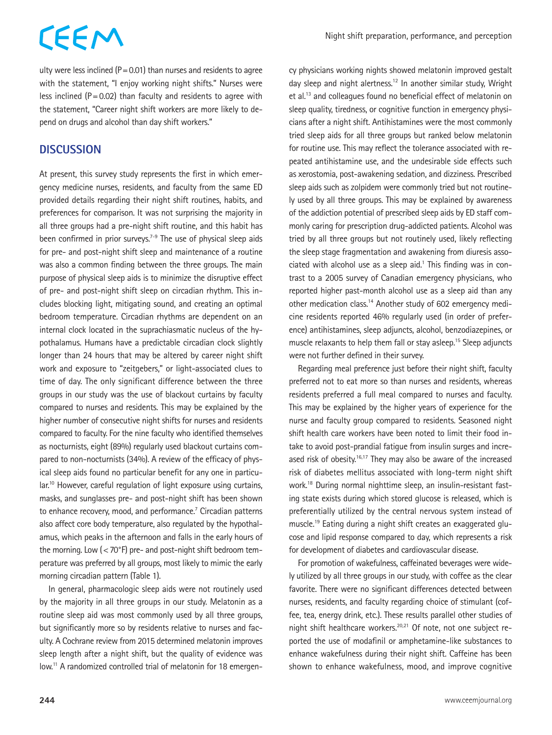Night shift preparation, performance, and perception

ulty were less inclined ( $P = 0.01$ ) than nurses and residents to agree with the statement, "I enjoy working night shifts." Nurses were less inclined  $(P=0.02)$  than faculty and residents to agree with the statement, "Career night shift workers are more likely to depend on drugs and alcohol than day shift workers."

### **DISCUSSION**

At present, this survey study represents the first in which emergency medicine nurses, residents, and faculty from the same ED provided details regarding their night shift routines, habits, and preferences for comparison. It was not surprising the majority in all three groups had a pre-night shift routine, and this habit has been confirmed in prior surveys.<sup> $7-9$ </sup> The use of physical sleep aids for pre- and post-night shift sleep and maintenance of a routine was also a common finding between the three groups. The main purpose of physical sleep aids is to minimize the disruptive effect of pre- and post-night shift sleep on circadian rhythm. This includes blocking light, mitigating sound, and creating an optimal bedroom temperature. Circadian rhythms are dependent on an internal clock located in the suprachiasmatic nucleus of the hypothalamus. Humans have a predictable circadian clock slightly longer than 24 hours that may be altered by career night shift work and exposure to "zeitgebers," or light-associated clues to time of day. The only significant difference between the three groups in our study was the use of blackout curtains by faculty compared to nurses and residents. This may be explained by the higher number of consecutive night shifts for nurses and residents compared to faculty. For the nine faculty who identified themselves as nocturnists, eight (89%) regularly used blackout curtains compared to non-nocturnists (34%). A review of the efficacy of physical sleep aids found no particular benefit for any one in particular.10 However, careful regulation of light exposure using curtains, masks, and sunglasses pre- and post-night shift has been shown to enhance recovery, mood, and performance.<sup>7</sup> Circadian patterns also affect core body temperature, also regulated by the hypothalamus, which peaks in the afternoon and falls in the early hours of the morning. Low  $\left( < 70^{\circ}F \right)$  pre- and post-night shift bedroom temperature was preferred by all groups, most likely to mimic the early morning circadian pattern (Table 1).

In general, pharmacologic sleep aids were not routinely used by the majority in all three groups in our study. Melatonin as a routine sleep aid was most commonly used by all three groups, but significantly more so by residents relative to nurses and faculty. A Cochrane review from 2015 determined melatonin improves sleep length after a night shift, but the quality of evidence was low.<sup>11</sup> A randomized controlled trial of melatonin for 18 emergency physicians working nights showed melatonin improved gestalt day sleep and night alertness.<sup>12</sup> In another similar study, Wright et al.13 and colleagues found no beneficial effect of melatonin on sleep quality, tiredness, or cognitive function in emergency physicians after a night shift. Antihistamines were the most commonly tried sleep aids for all three groups but ranked below melatonin for routine use. This may reflect the tolerance associated with repeated antihistamine use, and the undesirable side effects such as xerostomia, post-awakening sedation, and dizziness. Prescribed sleep aids such as zolpidem were commonly tried but not routinely used by all three groups. This may be explained by awareness of the addiction potential of prescribed sleep aids by ED staff commonly caring for prescription drug-addicted patients. Alcohol was tried by all three groups but not routinely used, likely reflecting the sleep stage fragmentation and awakening from diuresis asso $ciated$  with alcohol use as a sleep aid.<sup>1</sup> This finding was in contrast to a 2005 survey of Canadian emergency physicians, who reported higher past-month alcohol use as a sleep aid than any other medication class.14 Another study of 602 emergency medicine residents reported 46% regularly used (in order of preference) antihistamines, sleep adjuncts, alcohol, benzodiazepines, or muscle relaxants to help them fall or stay asleep.<sup>15</sup> Sleep adjuncts were not further defined in their survey.

Regarding meal preference just before their night shift, faculty preferred not to eat more so than nurses and residents, whereas residents preferred a full meal compared to nurses and faculty. This may be explained by the higher years of experience for the nurse and faculty group compared to residents. Seasoned night shift health care workers have been noted to limit their food intake to avoid post-prandial fatigue from insulin surges and increased risk of obesity.<sup>16,17</sup> They may also be aware of the increased risk of diabetes mellitus associated with long-term night shift work.18 During normal nighttime sleep, an insulin-resistant fasting state exists during which stored glucose is released, which is preferentially utilized by the central nervous system instead of muscle.19 Eating during a night shift creates an exaggerated glucose and lipid response compared to day, which represents a risk for development of diabetes and cardiovascular disease.

For promotion of wakefulness, caffeinated beverages were widely utilized by all three groups in our study, with coffee as the clear favorite. There were no significant differences detected between nurses, residents, and faculty regarding choice of stimulant (coffee, tea, energy drink, etc.). These results parallel other studies of night shift healthcare workers.<sup>20,21</sup> Of note, not one subject reported the use of modafinil or amphetamine-like substances to enhance wakefulness during their night shift. Caffeine has been shown to enhance wakefulness, mood, and improve cognitive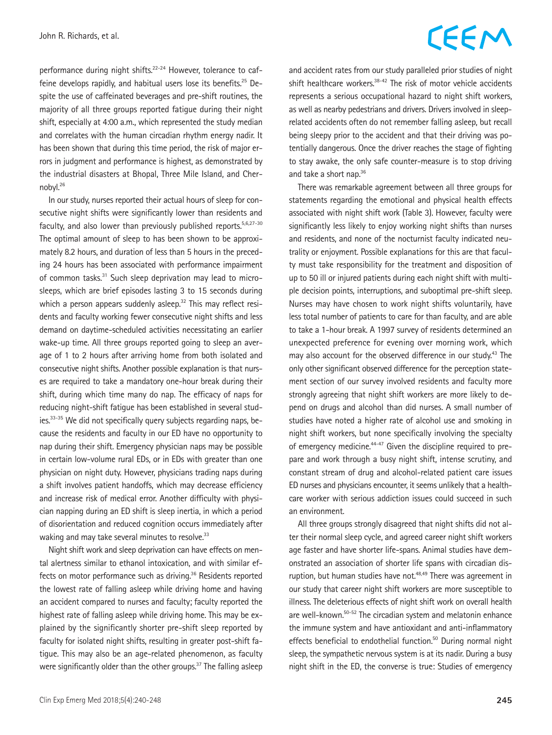performance during night shifts.<sup>22-24</sup> However, tolerance to caffeine develops rapidly, and habitual users lose its benefits.<sup>25</sup> Despite the use of caffeinated beverages and pre-shift routines, the majority of all three groups reported fatigue during their night shift, especially at 4:00 a.m., which represented the study median and correlates with the human circadian rhythm energy nadir. It has been shown that during this time period, the risk of major errors in judgment and performance is highest, as demonstrated by the industrial disasters at Bhopal, Three Mile Island, and Chernobyl.26

In our study, nurses reported their actual hours of sleep for consecutive night shifts were significantly lower than residents and faculty, and also lower than previously published reports. $5,6,27-30$ The optimal amount of sleep to has been shown to be approximately 8.2 hours, and duration of less than 5 hours in the preceding 24 hours has been associated with performance impairment of common tasks.<sup>31</sup> Such sleep deprivation may lead to microsleeps, which are brief episodes lasting 3 to 15 seconds during which a person appears suddenly asleep.<sup>32</sup> This may reflect residents and faculty working fewer consecutive night shifts and less demand on daytime-scheduled activities necessitating an earlier wake-up time. All three groups reported going to sleep an average of 1 to 2 hours after arriving home from both isolated and consecutive night shifts. Another possible explanation is that nurses are required to take a mandatory one-hour break during their shift, during which time many do nap. The efficacy of naps for reducing night-shift fatigue has been established in several studies.33-35 We did not specifically query subjects regarding naps, because the residents and faculty in our ED have no opportunity to nap during their shift. Emergency physician naps may be possible in certain low-volume rural EDs, or in EDs with greater than one physician on night duty. However, physicians trading naps during a shift involves patient handoffs, which may decrease efficiency and increase risk of medical error. Another difficulty with physician napping during an ED shift is sleep inertia, in which a period of disorientation and reduced cognition occurs immediately after waking and may take several minutes to resolve.<sup>33</sup>

Night shift work and sleep deprivation can have effects on mental alertness similar to ethanol intoxication, and with similar effects on motor performance such as driving.<sup>36</sup> Residents reported the lowest rate of falling asleep while driving home and having an accident compared to nurses and faculty; faculty reported the highest rate of falling asleep while driving home. This may be explained by the significantly shorter pre-shift sleep reported by faculty for isolated night shifts, resulting in greater post-shift fatigue. This may also be an age-related phenomenon, as faculty were significantly older than the other groups.<sup>37</sup> The falling asleep

### CEEM

and accident rates from our study paralleled prior studies of night shift healthcare workers.<sup>38-42</sup> The risk of motor vehicle accidents represents a serious occupational hazard to night shift workers, as well as nearby pedestrians and drivers. Drivers involved in sleeprelated accidents often do not remember falling asleep, but recall being sleepy prior to the accident and that their driving was potentially dangerous. Once the driver reaches the stage of fighting to stay awake, the only safe counter-measure is to stop driving and take a short nap.36

There was remarkable agreement between all three groups for statements regarding the emotional and physical health effects associated with night shift work (Table 3). However, faculty were significantly less likely to enjoy working night shifts than nurses and residents, and none of the nocturnist faculty indicated neutrality or enjoyment. Possible explanations for this are that faculty must take responsibility for the treatment and disposition of up to 50 ill or injured patients during each night shift with multiple decision points, interruptions, and suboptimal pre-shift sleep. Nurses may have chosen to work night shifts voluntarily, have less total number of patients to care for than faculty, and are able to take a 1-hour break. A 1997 survey of residents determined an unexpected preference for evening over morning work, which may also account for the observed difference in our study.<sup>43</sup> The only other significant observed difference for the perception statement section of our survey involved residents and faculty more strongly agreeing that night shift workers are more likely to depend on drugs and alcohol than did nurses. A small number of studies have noted a higher rate of alcohol use and smoking in night shift workers, but none specifically involving the specialty of emergency medicine.44-47 Given the discipline required to prepare and work through a busy night shift, intense scrutiny, and constant stream of drug and alcohol-related patient care issues ED nurses and physicians encounter, it seems unlikely that a healthcare worker with serious addiction issues could succeed in such an environment.

All three groups strongly disagreed that night shifts did not alter their normal sleep cycle, and agreed career night shift workers age faster and have shorter life-spans. Animal studies have demonstrated an association of shorter life spans with circadian disruption, but human studies have not.<sup>48,49</sup> There was agreement in our study that career night shift workers are more susceptible to illness. The deleterious effects of night shift work on overall health are well-known.<sup>50-52</sup> The circadian system and melatonin enhance the immune system and have antioxidant and anti-inflammatory effects beneficial to endothelial function.<sup>50</sup> During normal night sleep, the sympathetic nervous system is at its nadir. During a busy night shift in the ED, the converse is true: Studies of emergency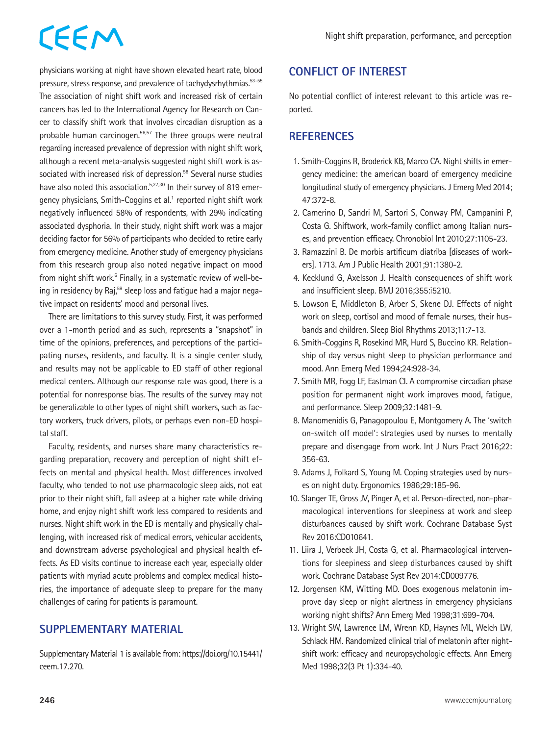physicians working at night have shown elevated heart rate, blood pressure, stress response, and prevalence of tachydysrhythmias.<sup>53-55</sup> The association of night shift work and increased risk of certain cancers has led to the International Agency for Research on Cancer to classify shift work that involves circadian disruption as a probable human carcinogen.56,57 The three groups were neutral regarding increased prevalence of depression with night shift work, although a recent meta-analysis suggested night shift work is associated with increased risk of depression.<sup>58</sup> Several nurse studies have also noted this association.<sup>5,27,30</sup> In their survey of 819 emergency physicians, Smith-Coggins et al.<sup>1</sup> reported night shift work negatively influenced 58% of respondents, with 29% indicating associated dysphoria. In their study, night shift work was a major deciding factor for 56% of participants who decided to retire early from emergency medicine. Another study of emergency physicians from this research group also noted negative impact on mood from night shift work.<sup>6</sup> Finally, in a systematic review of well-being in residency by Raj,<sup>59</sup> sleep loss and fatique had a major neqative impact on residents' mood and personal lives.

There are limitations to this survey study. First, it was performed over a 1-month period and as such, represents a "snapshot" in time of the opinions, preferences, and perceptions of the participating nurses, residents, and faculty. It is a single center study, and results may not be applicable to ED staff of other regional medical centers. Although our response rate was good, there is a potential for nonresponse bias. The results of the survey may not be generalizable to other types of night shift workers, such as factory workers, truck drivers, pilots, or perhaps even non-ED hospital staff.

Faculty, residents, and nurses share many characteristics regarding preparation, recovery and perception of night shift effects on mental and physical health. Most differences involved faculty, who tended to not use pharmacologic sleep aids, not eat prior to their night shift, fall asleep at a higher rate while driving home, and enjoy night shift work less compared to residents and nurses. Night shift work in the ED is mentally and physically challenging, with increased risk of medical errors, vehicular accidents, and downstream adverse psychological and physical health effects. As ED visits continue to increase each year, especially older patients with myriad acute problems and complex medical histories, the importance of adequate sleep to prepare for the many challenges of caring for patients is paramount.

### **SUPPLEMENTARY MATERIAL**

Supplementary Material 1 is available from: https://doi.org/10.15441/ ceem.17.270.

### **CONFLICT OF INTEREST**

No potential conflict of interest relevant to this article was reported.

#### **REFERENCES**

- 1. Smith-Coggins R, Broderick KB, Marco CA. Night shifts in emergency medicine: the american board of emergency medicine longitudinal study of emergency physicians. J Emerg Med 2014; 47:372-8.
- 2. Camerino D, Sandri M, Sartori S, Conway PM, Campanini P, Costa G. Shiftwork, work-family conflict among Italian nurses, and prevention efficacy. Chronobiol Int 2010;27:1105-23.
- 3. Ramazzini B. De morbis artificum diatriba [diseases of workers]. 1713. Am J Public Health 2001;91:1380-2.
- 4. Kecklund G, Axelsson J. Health consequences of shift work and insufficient sleep. BMJ 2016;355:i5210.
- 5. Lowson E, Middleton B, Arber S, Skene DJ. Effects of night work on sleep, cortisol and mood of female nurses, their husbands and children. Sleep Biol Rhythms 2013;11:7-13.
- 6. Smith-Coggins R, Rosekind MR, Hurd S, Buccino KR. Relationship of day versus night sleep to physician performance and mood. Ann Emerg Med 1994;24:928-34.
- 7. Smith MR, Fogg LF, Eastman CI. A compromise circadian phase position for permanent night work improves mood, fatigue, and performance. Sleep 2009;32:1481-9.
- 8. Manomenidis G, Panagopoulou E, Montgomery A. The 'switch on-switch off model': strategies used by nurses to mentally prepare and disengage from work. Int J Nurs Pract 2016;22: 356-63.
- 9. Adams J, Folkard S, Young M. Coping strategies used by nurses on night duty. Ergonomics 1986;29:185-96.
- 10. Slanger TE, Gross JV, Pinger A, et al. Person-directed, non-pharmacological interventions for sleepiness at work and sleep disturbances caused by shift work. Cochrane Database Syst Rev 2016:CD010641.
- 11. Liira J, Verbeek JH, Costa G, et al. Pharmacological interventions for sleepiness and sleep disturbances caused by shift work. Cochrane Database Syst Rev 2014:CD009776.
- 12. Jorgensen KM, Witting MD. Does exogenous melatonin improve day sleep or night alertness in emergency physicians working night shifts? Ann Emerg Med 1998;31:699-704.
- 13. Wright SW, Lawrence LM, Wrenn KD, Haynes ML, Welch LW, Schlack HM. Randomized clinical trial of melatonin after nightshift work: efficacy and neuropsychologic effects. Ann Emerg Med 1998;32(3 Pt 1):334-40.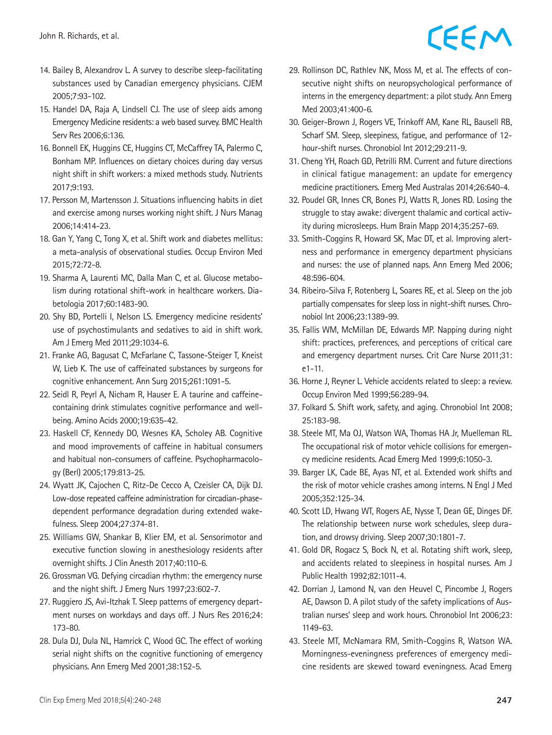- 14. Bailey B, Alexandrov L. A survey to describe sleep-facilitating substances used by Canadian emergency physicians. CJEM 2005;7:93-102.
- 15. Handel DA, Raja A, Lindsell CJ. The use of sleep aids among Emergency Medicine residents: a web based survey. BMC Health Serv Res 2006;6:136.
- 16. Bonnell EK, Huggins CE, Huggins CT, McCaffrey TA, Palermo C, Bonham MP. Influences on dietary choices during day versus night shift in shift workers: a mixed methods study. Nutrients 2017;9:193.
- 17. Persson M, Martensson J. Situations influencing habits in diet and exercise among nurses working night shift. J Nurs Manag 2006;14:414-23.
- 18. Gan Y, Yang C, Tong X, et al. Shift work and diabetes mellitus: a meta-analysis of observational studies. Occup Environ Med 2015;72:72-8.
- 19. Sharma A, Laurenti MC, Dalla Man C, et al. Glucose metabolism during rotational shift-work in healthcare workers. Diabetologia 2017;60:1483-90.
- 20. Shy BD, Portelli I, Nelson LS. Emergency medicine residents' use of psychostimulants and sedatives to aid in shift work. Am J Emerg Med 2011;29:1034-6.
- 21. Franke AG, Bagusat C, McFarlane C, Tassone-Steiger T, Kneist W, Lieb K. The use of caffeinated substances by surgeons for cognitive enhancement. Ann Surg 2015;261:1091-5.
- 22. Seidl R, Peyrl A, Nicham R, Hauser E. A taurine and caffeinecontaining drink stimulates cognitive performance and wellbeing. Amino Acids 2000;19:635-42.
- 23. Haskell CF, Kennedy DO, Wesnes KA, Scholey AB. Cognitive and mood improvements of caffeine in habitual consumers and habitual non-consumers of caffeine. Psychopharmacology (Berl) 2005;179:813-25.
- 24. Wyatt JK, Cajochen C, Ritz-De Cecco A, Czeisler CA, Dijk DJ. Low-dose repeated caffeine administration for circadian-phasedependent performance degradation during extended wakefulness. Sleep 2004;27:374-81.
- 25. Williams GW, Shankar B, Klier EM, et al. Sensorimotor and executive function slowing in anesthesiology residents after overnight shifts. J Clin Anesth 2017;40:110-6.
- 26. Grossman VG. Defying circadian rhythm: the emergency nurse and the night shift. J Emerg Nurs 1997;23:602-7.
- 27. Ruggiero JS, Avi-Itzhak T. Sleep patterns of emergency department nurses on workdays and days off. J Nurs Res 2016;24: 173-80.
- 28. Dula DJ, Dula NL, Hamrick C, Wood GC. The effect of working serial night shifts on the cognitive functioning of emergency physicians. Ann Emerg Med 2001;38:152-5.
- 29. Rollinson DC, Rathlev NK, Moss M, et al. The effects of consecutive night shifts on neuropsychological performance of interns in the emergency department: a pilot study. Ann Emerg Med 2003;41:400-6.
- 30. Geiger-Brown J, Rogers VE, Trinkoff AM, Kane RL, Bausell RB, Scharf SM. Sleep, sleepiness, fatigue, and performance of 12 hour-shift nurses. Chronobiol Int 2012;29:211-9.
- 31. Cheng YH, Roach GD, Petrilli RM. Current and future directions in clinical fatigue management: an update for emergency medicine practitioners. Emerg Med Australas 2014;26:640-4.
- 32. Poudel GR, Innes CR, Bones PJ, Watts R, Jones RD. Losing the struggle to stay awake: divergent thalamic and cortical activity during microsleeps. Hum Brain Mapp 2014;35:257-69.
- 33. Smith-Coggins R, Howard SK, Mac DT, et al. Improving alertness and performance in emergency department physicians and nurses: the use of planned naps. Ann Emerg Med 2006; 48:596-604.
- 34. Ribeiro-Silva F, Rotenberg L, Soares RE, et al. Sleep on the job partially compensates for sleep loss in night-shift nurses. Chronobiol Int 2006;23:1389-99.
- 35. Fallis WM, McMillan DE, Edwards MP. Napping during night shift: practices, preferences, and perceptions of critical care and emergency department nurses. Crit Care Nurse 2011;31: e1-11.
- 36. Horne J, Reyner L. Vehicle accidents related to sleep: a review. Occup Environ Med 1999;56:289-94.
- 37. Folkard S. Shift work, safety, and aging. Chronobiol Int 2008; 25:183-98.
- 38. Steele MT, Ma OJ, Watson WA, Thomas HA Jr, Muelleman RL. The occupational risk of motor vehicle collisions for emergency medicine residents. Acad Emerg Med 1999;6:1050-3.
- 39. Barger LK, Cade BE, Ayas NT, et al. Extended work shifts and the risk of motor vehicle crashes among interns. N Engl J Med 2005;352:125-34.
- 40. Scott LD, Hwang WT, Rogers AE, Nysse T, Dean GE, Dinges DF. The relationship between nurse work schedules, sleep duration, and drowsy driving. Sleep 2007;30:1801-7.
- 41. Gold DR, Rogacz S, Bock N, et al. Rotating shift work, sleep, and accidents related to sleepiness in hospital nurses. Am J Public Health 1992;82:1011-4.
- 42. Dorrian J, Lamond N, van den Heuvel C, Pincombe J, Rogers AE, Dawson D. A pilot study of the safety implications of Australian nurses' sleep and work hours. Chronobiol Int 2006;23: 1149-63.
- 43. Steele MT, McNamara RM, Smith-Coggins R, Watson WA. Morningness-eveningness preferences of emergency medicine residents are skewed toward eveningness. Acad Emerg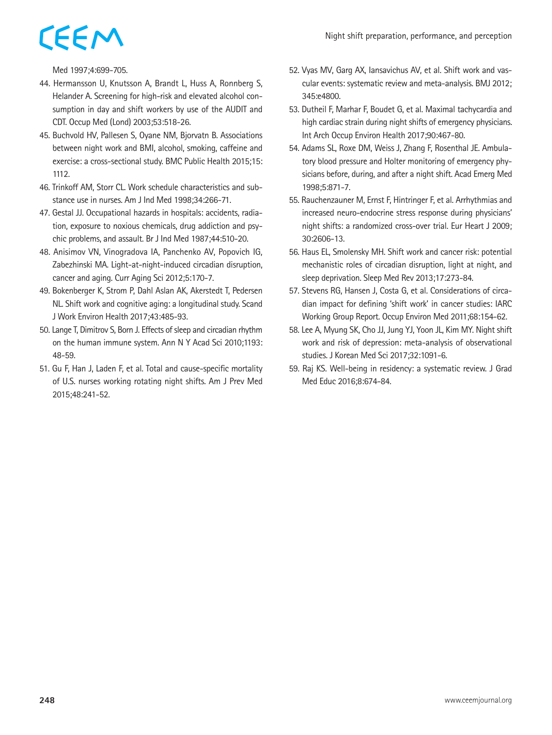Med 1997;4:699-705.

- 44. Hermansson U, Knutsson A, Brandt L, Huss A, Ronnberg S, Helander A. Screening for high-risk and elevated alcohol consumption in day and shift workers by use of the AUDIT and CDT. Occup Med (Lond) 2003;53:518-26.
- 45. Buchvold HV, Pallesen S, Oyane NM, Bjorvatn B. Associations between night work and BMI, alcohol, smoking, caffeine and exercise: a cross-sectional study. BMC Public Health 2015;15: 1112.
- 46. Trinkoff AM, Storr CL. Work schedule characteristics and substance use in nurses. Am J Ind Med 1998;34:266-71.
- 47. Gestal JJ. Occupational hazards in hospitals: accidents, radiation, exposure to noxious chemicals, drug addiction and psychic problems, and assault. Br J Ind Med 1987;44:510-20.
- 48. Anisimov VN, Vinogradova IA, Panchenko AV, Popovich IG, Zabezhinski MA. Light-at-night-induced circadian disruption, cancer and aging. Curr Aging Sci 2012;5:170-7.
- 49. Bokenberger K, Strom P, Dahl Aslan AK, Akerstedt T, Pedersen NL. Shift work and cognitive aging: a longitudinal study. Scand J Work Environ Health 2017;43:485-93.
- 50. Lange T, Dimitrov S, Born J. Effects of sleep and circadian rhythm on the human immune system. Ann N Y Acad Sci 2010;1193: 48-59.
- 51. Gu F, Han J, Laden F, et al. Total and cause-specific mortality of U.S. nurses working rotating night shifts. Am J Prev Med 2015;48:241-52.
- 52. Vyas MV, Garg AX, Iansavichus AV, et al. Shift work and vascular events: systematic review and meta-analysis. BMJ 2012; 345:e4800.
- 53. Dutheil F, Marhar F, Boudet G, et al. Maximal tachycardia and high cardiac strain during night shifts of emergency physicians. Int Arch Occup Environ Health 2017;90:467-80.
- 54. Adams SL, Roxe DM, Weiss J, Zhang F, Rosenthal JE. Ambulatory blood pressure and Holter monitoring of emergency physicians before, during, and after a night shift. Acad Emerg Med 1998;5:871-7.
- 55. Rauchenzauner M, Ernst F, Hintringer F, et al. Arrhythmias and increased neuro-endocrine stress response during physicians' night shifts: a randomized cross-over trial. Eur Heart J 2009; 30:2606-13.
- 56. Haus EL, Smolensky MH. Shift work and cancer risk: potential mechanistic roles of circadian disruption, light at night, and sleep deprivation. Sleep Med Rev 2013;17:273-84.
- 57. Stevens RG, Hansen J, Costa G, et al. Considerations of circadian impact for defining 'shift work' in cancer studies: IARC Working Group Report. Occup Environ Med 2011;68:154-62.
- 58. Lee A, Myung SK, Cho JJ, Jung YJ, Yoon JL, Kim MY. Night shift work and risk of depression: meta-analysis of observational studies. J Korean Med Sci 2017;32:1091-6.
- 59. Raj KS. Well-being in residency: a systematic review. J Grad Med Educ 2016;8:674-84.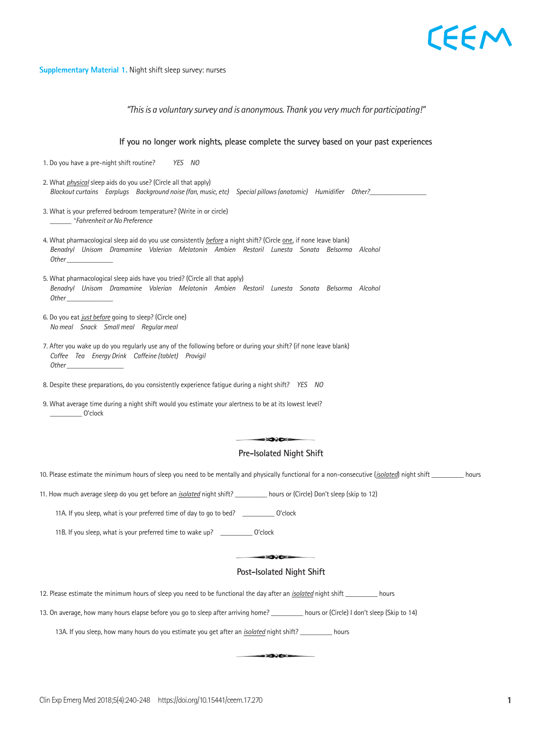### EEM

#### **Supplementary Material 1.** Night shift sleep survey: nurses

*"This is a voluntary survey and is anonymous. Thank you very much for participating!"*

**If you no longer work nights, please complete the survey based on your past experiences** 1. Do you have a pre-night shift routine? *YES NO* 2. What *physical* sleep aids do you use? (Circle all that apply) *Blackout curtains Earplugs Background noise (fan, music, etc) Special pillows (anatomic) Humidifier Other?\_*\_\_\_\_\_\_\_\_\_\_\_\_\_\_\_ 3. What is your preferred bedroom temperature? (Write in or circle) \_\_\_\_\_\_ *°Fahrenheit or No Preference* 4. What pharmacological sleep aid do you use consistently *before* a night shift? (Circle one, if none leave blank) *Benadryl Unisom Dramamine Valerian Melatonin Ambien Restoril Lunesta Sonata Belsorma Alcohol* **Night**  $\frac{1}{2}$  **Shifter - Nurses** *Other \_\_\_\_\_\_\_\_\_\_\_\_\_* 5. What pharmacological sleep aids have you tried? (Circle all that apply) er man pranna enegren sielp also have you arear (en ele an mal appri).<br>Benadryl Unisom Dramamine Valerian Melatonin Ambien Restoril Lunesta Sonata Belsorma Alcohol *Other \_\_\_\_\_\_\_\_\_\_\_\_\_* 6. Do you eat *just before* going to sleep? (Circle one) *No meal Snack Small meal Regular meal* 7. After you wake up do you regularly use any of the following before or during your shift? (if none leave blank)<br>Ceffee Tea Energy Drink Ceffeine (tablet) Drovisil *Coffee Tea Energy Drink Caffeine (tablet) Provigil* during a night shift? *YES NO Other \_\_\_\_\_\_\_\_\_\_\_\_\_\_\_\_* survey based on your past experiences 8. Despite these preparations, do you consistently experience fatigue during a night shift? YES NO 9. What average time during a night shift would you estimate your alertness to be at its lowest level? \_\_\_\_\_\_\_\_\_ O'clock  $\Rightarrow$ ges **Pre-Isolated Night Shift** Pre-Isolated Night Shift 10. Please estimate the minimum hours of sleep you need to be mentally and physically functional for a non-consecutive (*isolated*) night shift \_\_\_\_\_\_\_\_\_\_ hours 10. Please estimate the minimum hours of sleep you need to be mentally and physic<br> 11. How much average sleep do you get before an <u>isolated</u> night shift? \_\_\_\_\_\_\_\_\_ hours or (Circle) Don't sleep (skip to 12)  $T$  is a voluntary survey and is anonymous. That is anonymous. That is anonymous. The participating  $T$ 11A. If you sleep, what is your preferred time of day to go to bed? \_\_\_\_\_\_\_\_\_\_\_\_ O'clock 11B. If you sleep, what is your preferred time to wake up? \_\_\_\_\_\_\_\_\_\_\_\_\_ O'clock 11. How much average sleep do you get before an *isolated* night shift  $S$  is the contract of  $\mathcal{L}$  . The  $\mathcal{L}$  to  $\mathcal{L}$  to 12) does not to 12) does not 12). Post-Isolated Night Shift Pre-Isolated Night Shift 12. Please estimate the minimum hours of sleep you need to be functional the day after an *<u>isolated</u>* night shift \_\_\_\_\_\_\_\_\_\_\_ hours<br> **12.** Please estimate the minimum hours of sleep you need to be functional the day after 13. On average, how many hours elapse before you go to sleep after arriving home? \_\_\_\_\_\_\_\_\_ hours or (Circle) I don't sleep (Skip to 14) *Restoril Lunesta Sonata Belsorma Alcohol*  13A. If you sleep, how many hours do you estimate you get after an *<u>isolated</u>* night shift? \_\_\_\_\_\_\_\_\_\_\_ hours you estimate you get after an <u>isolated</u> night shift? \_\_\_\_\_\_\_\_\_\_\_\_\_ h -902-